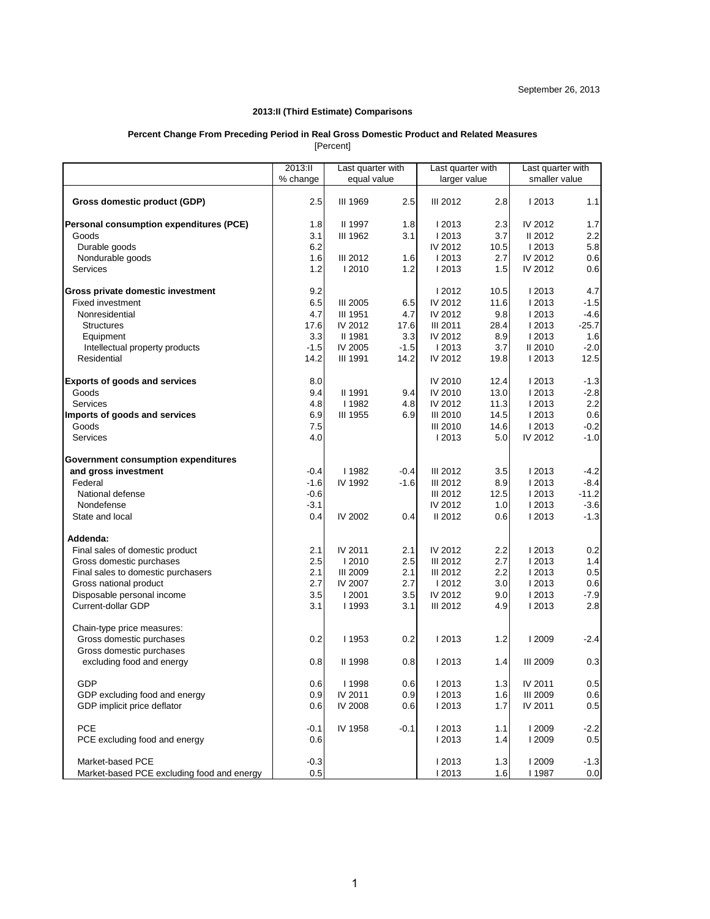## **2013:II (Third Estimate) Comparisons**

# **Percent Change From Preceding Period in Real Gross Domestic Product and Related Measures**

[Percent]

|                                            | 2013:11  | Last quarter with |        | Last quarter with |      | Last quarter with |         |
|--------------------------------------------|----------|-------------------|--------|-------------------|------|-------------------|---------|
|                                            | % change | equal value       |        | larger value      |      | smaller value     |         |
| Gross domestic product (GDP)               | 2.5      | <b>III 1969</b>   | 2.5    | <b>III 2012</b>   | 2.8  | 2013              | 1.1     |
| Personal consumption expenditures (PCE)    | 1.8      | II 1997           | 1.8    | I 2013            | 2.3  | IV 2012           | 1.7     |
| Goods                                      | 3.1      | III 1962          | 3.1    | I 2013            | 3.7  | II 2012           | 2.2     |
| Durable goods                              | 6.2      |                   |        | IV 2012           | 10.5 | I 2013            | 5.8     |
| Nondurable goods                           | 1.6      | <b>III 2012</b>   | 1.6    | I 2013            | 2.7  | IV 2012           | 0.6     |
| <b>Services</b>                            | 1.2      | I 2010            | 1.2    | I 2013            | 1.5  | IV 2012           | 0.6     |
| Gross private domestic investment          | 9.2      |                   |        | I 2012            | 10.5 | 2013              | 4.7     |
| <b>Fixed investment</b>                    | 6.5      | <b>III 2005</b>   | 6.5    | IV 2012           | 11.6 | I 2013            | $-1.5$  |
| Nonresidential                             | 4.7      | <b>III 1951</b>   | 4.7    | IV 2012           | 9.8  | I 2013            | $-4.6$  |
| <b>Structures</b>                          | 17.6     | IV 2012           | 17.6   | <b>III 2011</b>   | 28.4 | I 2013            | $-25.7$ |
| Equipment                                  | 3.3      | II 1981           | 3.3    | IV 2012           | 8.9  | I 2013            | 1.6     |
| Intellectual property products             | $-1.5$   | IV 2005           | $-1.5$ | I 2013            | 3.7  | II 2010           | $-2.0$  |
| Residential                                | 14.2     | <b>III 1991</b>   | 14.2   | IV 2012           | 19.8 | I 2013            | 12.5    |
| <b>Exports of goods and services</b>       | 8.0      |                   |        | IV 2010           | 12.4 | I 2013            | $-1.3$  |
| Goods                                      | 9.4      | II 1991           | 9.4    | IV 2010           | 13.0 | 2013              | $-2.8$  |
| Services                                   | 4.8      | 1982              | 4.8    | IV 2012           | 11.3 | I 2013            | 2.2     |
| Imports of goods and services              | 6.9      | <b>III 1955</b>   | 6.9    | <b>III 2010</b>   | 14.5 | 12013             | 0.6     |
| Goods                                      | 7.5      |                   |        | <b>III 2010</b>   | 14.6 | I 2013            | $-0.2$  |
| Services                                   | 4.0      |                   |        | I 2013            | 5.0  | IV 2012           | $-1.0$  |
| Government consumption expenditures        |          |                   |        |                   |      |                   |         |
| and gross investment                       | $-0.4$   | <b>I1982</b>      | $-0.4$ | <b>III 2012</b>   | 3.5  | 2013              | $-4.2$  |
| Federal                                    | -1.6     | IV 1992           | $-1.6$ | <b>III 2012</b>   | 8.9  | 2013              | $-8.4$  |
| National defense                           | $-0.6$   |                   |        | III 2012          | 12.5 | I 2013            | $-11.2$ |
| Nondefense                                 | $-3.1$   |                   |        | IV 2012           | 1.0  | I 2013            | $-3.6$  |
| State and local                            | 0.4      | IV 2002           | 0.4    | II 2012           | 0.6  | I 2013            | $-1.3$  |
| Addenda:                                   |          |                   |        |                   |      |                   |         |
| Final sales of domestic product            | 2.1      | IV 2011           | 2.1    | IV 2012           | 2.2  | 2013              | 0.2     |
| Gross domestic purchases                   | 2.5      | I 2010            | 2.5    | <b>III 2012</b>   | 2.7  | 2013              | 1.4     |
| Final sales to domestic purchasers         | 2.1      | <b>III 2009</b>   | 2.1    | III 2012          | 2.2  | I 2013            | 0.5     |
| Gross national product                     | 2.7      | IV 2007           | 2.7    | 12012             | 3.0  | 2013              | 0.6     |
| Disposable personal income                 | 3.5      | I 2001            | 3.5    | IV 2012           | 9.0  | I 2013            | $-7.9$  |
| Current-dollar GDP                         | 3.1      | <b>I1993</b>      | 3.1    | <b>III 2012</b>   | 4.9  | I 2013            | 2.8     |
| Chain-type price measures:                 |          |                   |        |                   |      |                   |         |
| Gross domestic purchases                   | 0.2      | 1953              | 0.2    | I 2013            | 1.2  | <b>12009</b>      | -2.4    |
| Gross domestic purchases                   |          |                   |        |                   |      |                   |         |
| excluding food and energy                  | 0.8      | II 1998           | 0.8    | 2013              | 1.4  | <b>III 2009</b>   | 0.3     |
| GDP                                        | 0.6      | l 1998            | 0.6    | l 2013            | 1.3  | IV 2011           | 0.5     |
| GDP excluding food and energy              | 0.9      | IV 2011           | 0.9    | I 2013            | 1.6  | <b>III 2009</b>   | 0.6     |
| GDP implicit price deflator                | 0.6      | IV 2008           | 0.6    | I 2013            | 1.7  | IV 2011           | 0.5     |
| <b>PCE</b>                                 | $-0.1$   | IV 1958           | $-0.1$ | I 2013            | 1.1  | <b>12009</b>      | $-2.2$  |
| PCE excluding food and energy              | 0.6      |                   |        | I 2013            | 1.4  | <b>12009</b>      | 0.5     |
|                                            |          |                   |        |                   |      |                   |         |
| Market-based PCE                           | $-0.3$   |                   |        | I 2013            | 1.3  | <b>12009</b>      | $-1.3$  |
| Market-based PCE excluding food and energy | $0.5\,$  |                   |        | I 2013            | 1.6  | I 1987            | 0.0     |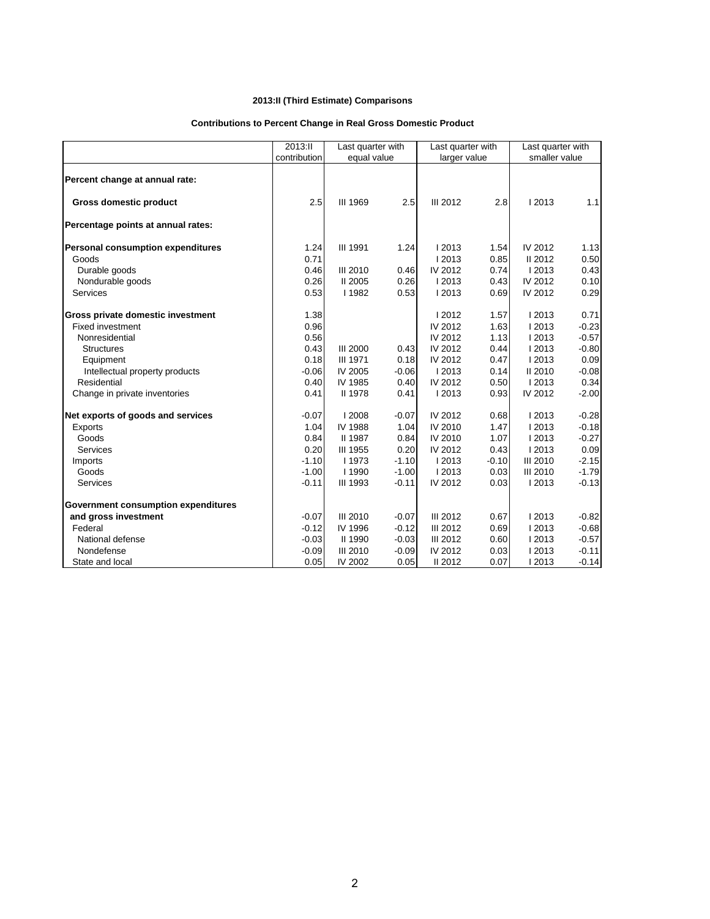# **2013:II (Third Estimate) Comparisons**

# **Contributions to Percent Change in Real Gross Domestic Product**

|                                          | 2013:II      | Last quarter with |         | Last quarter with |         | Last quarter with<br>smaller value |         |
|------------------------------------------|--------------|-------------------|---------|-------------------|---------|------------------------------------|---------|
|                                          | contribution | equal value       |         | larger value      |         |                                    |         |
| Percent change at annual rate:           |              |                   |         |                   |         |                                    |         |
| <b>Gross domestic product</b>            | 2.5          | III 1969          | 2.5     | <b>III 2012</b>   | 2.8     | 12013                              | 1.1     |
| Percentage points at annual rates:       |              |                   |         |                   |         |                                    |         |
| <b>Personal consumption expenditures</b> | 1.24         | <b>III 1991</b>   | 1.24    | 2013              | 1.54    | IV 2012                            | 1.13    |
| Goods                                    | 0.71         |                   |         | 2013              | 0.85    | II 2012                            | 0.50    |
| Durable goods                            | 0.46         | <b>III 2010</b>   | 0.46    | IV 2012           | 0.74    | I 2013                             | 0.43    |
| Nondurable goods                         | 0.26         | II 2005           | 0.26    | 2013              | 0.43    | IV 2012                            | 0.10    |
| <b>Services</b>                          | 0.53         | 1982              | 0.53    | 2013              | 0.69    | IV 2012                            | 0.29    |
| Gross private domestic investment        | 1.38         |                   |         | 2012              | 1.57    | 2013                               | 0.71    |
| <b>Fixed investment</b>                  | 0.96         |                   |         | IV 2012           | 1.63    | 2013                               | $-0.23$ |
| Nonresidential                           | 0.56         |                   |         | IV 2012           | 1.13    | 2013                               | $-0.57$ |
| <b>Structures</b>                        | 0.43         | <b>III 2000</b>   | 0.43    | IV 2012           | 0.44    | 2013                               | $-0.80$ |
| Equipment                                | 0.18         | <b>III 1971</b>   | 0.18    | IV 2012           | 0.47    | 2013                               | 0.09    |
| Intellectual property products           | $-0.06$      | IV 2005           | $-0.06$ | 2013              | 0.14    | II 2010                            | $-0.08$ |
| Residential                              | 0.40         | IV 1985           | 0.40    | IV 2012           | 0.50    | 2013                               | 0.34    |
| Change in private inventories            | 0.41         | <b>II 1978</b>    | 0.41    | 12013             | 0.93    | IV 2012                            | $-2.00$ |
| Net exports of goods and services        | $-0.07$      | 2008              | $-0.07$ | IV 2012           | 0.68    | 12013                              | $-0.28$ |
| <b>Exports</b>                           | 1.04         | IV 1988           | 1.04    | IV 2010           | 1.47    | 2013                               | $-0.18$ |
| Goods                                    | 0.84         | II 1987           | 0.84    | IV 2010           | 1.07    | 2013                               | $-0.27$ |
| <b>Services</b>                          | 0.20         | <b>III 1955</b>   | 0.20    | IV 2012           | 0.43    | 2013                               | 0.09    |
| Imports                                  | $-1.10$      | 1973              | $-1.10$ | 2013              | $-0.10$ | <b>III 2010</b>                    | $-2.15$ |
| Goods                                    | $-1.00$      | I 1990            | $-1.00$ | I 2013            | 0.03    | <b>III 2010</b>                    | $-1.79$ |
| <b>Services</b>                          | $-0.11$      | <b>III 1993</b>   | $-0.11$ | IV 2012           | 0.03    | 2013                               | $-0.13$ |
| Government consumption expenditures      |              |                   |         |                   |         |                                    |         |
| and gross investment                     | $-0.07$      | <b>III 2010</b>   | $-0.07$ | <b>III 2012</b>   | 0.67    | 2013                               | $-0.82$ |
| Federal                                  | $-0.12$      | IV 1996           | $-0.12$ | <b>III 2012</b>   | 0.69    | 12013                              | $-0.68$ |
| National defense                         | $-0.03$      | II 1990           | $-0.03$ | <b>III 2012</b>   | 0.60    | 2013                               | $-0.57$ |
| Nondefense                               | $-0.09$      | <b>III 2010</b>   | $-0.09$ | IV 2012           | 0.03    | 12013                              | $-0.11$ |
| State and local                          | 0.05         | IV 2002           | 0.05    | II 2012           | 0.07    | I 2013                             | $-0.14$ |